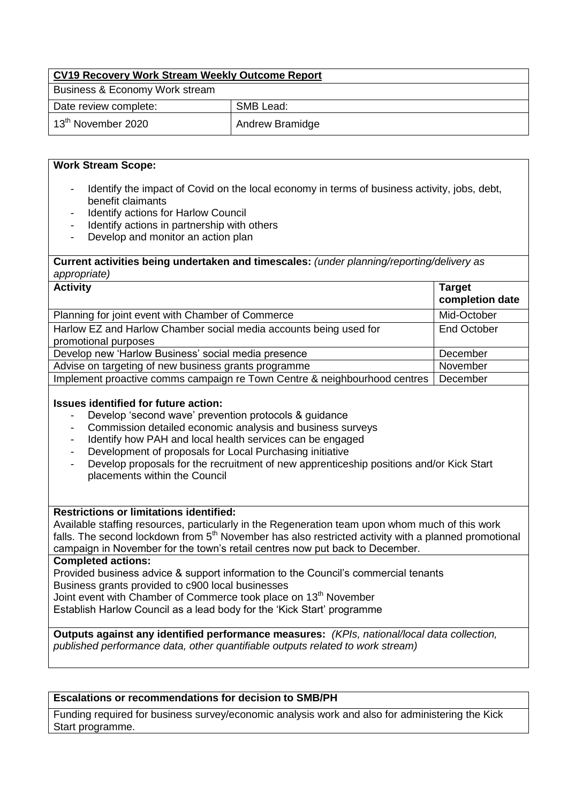| CV19 Recovery Work Stream Weekly Outcome Report |                 |  |  |  |
|-------------------------------------------------|-----------------|--|--|--|
| Business & Economy Work stream                  |                 |  |  |  |
| Date review complete:                           | SMB Lead:       |  |  |  |
| $13th$ November 2020                            | Andrew Bramidge |  |  |  |

## **Work Stream Scope:**

- Identify the impact of Covid on the local economy in terms of business activity, jobs, debt, benefit claimants
- Identify actions for Harlow Council
- Identify actions in partnership with others
- Develop and monitor an action plan

## **Current activities being undertaken and timescales:** *(under planning/reporting/delivery as appropriate)*

| <b>Activity</b>                                                                           | <b>Target</b><br>completion date |
|-------------------------------------------------------------------------------------------|----------------------------------|
| Planning for joint event with Chamber of Commerce                                         | Mid-October                      |
| Harlow EZ and Harlow Chamber social media accounts being used for<br>promotional purposes | <b>End October</b>               |
| Develop new 'Harlow Business' social media presence                                       | December                         |
| Advise on targeting of new business grants programme                                      | November                         |
| Implement proactive comms campaign re Town Centre & neighbourhood centres                 | December                         |

## **Issues identified for future action:**

- Develop 'second wave' prevention protocols & quidance
- Commission detailed economic analysis and business surveys
- Identify how PAH and local health services can be engaged
- Development of proposals for Local Purchasing initiative
- Develop proposals for the recruitment of new apprenticeship positions and/or Kick Start placements within the Council

#### **Restrictions or limitations identified:**

Available staffing resources, particularly in the Regeneration team upon whom much of this work falls. The second lockdown from  $5<sup>th</sup>$  November has also restricted activity with a planned promotional campaign in November for the town's retail centres now put back to December.

#### **Completed actions:**

Provided business advice & support information to the Council's commercial tenants Business grants provided to c900 local businesses Joint event with Chamber of Commerce took place on 13<sup>th</sup> November

Establish Harlow Council as a lead body for the 'Kick Start' programme

**Outputs against any identified performance measures:** *(KPIs, national/local data collection, published performance data, other quantifiable outputs related to work stream)* 

# **Escalations or recommendations for decision to SMB/PH**

Funding required for business survey/economic analysis work and also for administering the Kick Start programme.